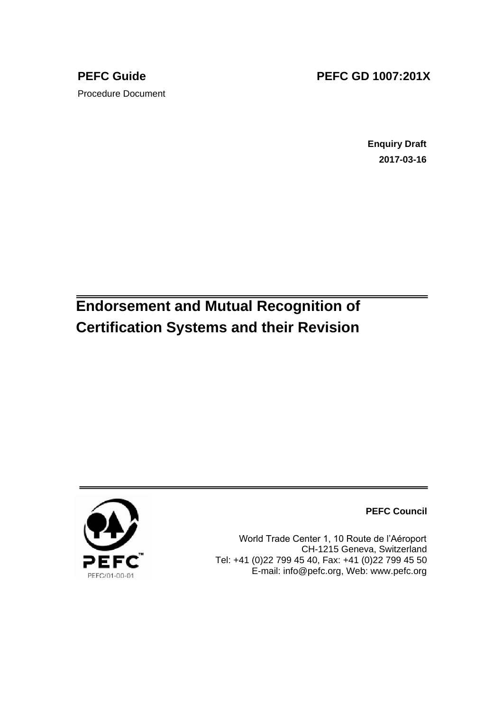# Procedure Document

## **PEFC Guide PEFC GD 1007:201X**

**Enquiry Draft 2017-03-16**

## **Endorsement and Mutual Recognition of Certification Systems and their Revision**



**PEFC Council**

World Trade Center 1, 10 Route de l'Aéroport CH-1215 Geneva, Switzerland Tel: +41 (0)22 799 45 40, Fax: +41 (0)22 799 45 50 E-mail: info@pefc.org, Web: www.pefc.org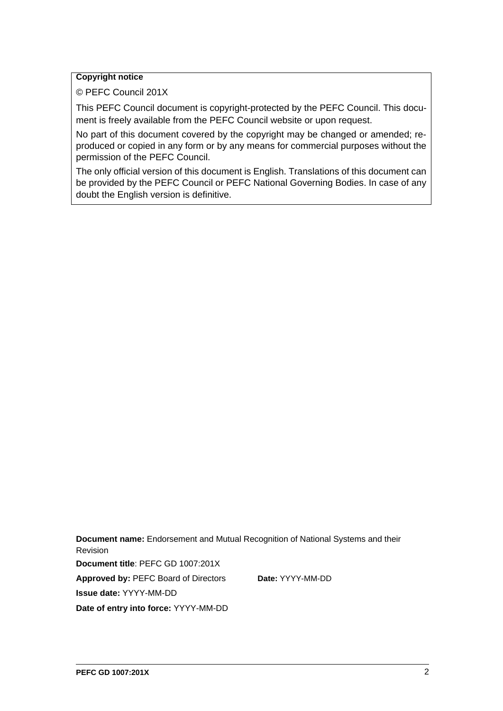#### **Copyright notice**

© PEFC Council 201X

This PEFC Council document is copyright-protected by the PEFC Council. This document is freely available from the PEFC Council website or upon request.

No part of this document covered by the copyright may be changed or amended; reproduced or copied in any form or by any means for commercial purposes without the permission of the PEFC Council.

The only official version of this document is English. Translations of this document can be provided by the PEFC Council or PEFC National Governing Bodies. In case of any doubt the English version is definitive.

**Document name:** Endorsement and Mutual Recognition of National Systems and their Revision **Document title**: PEFC GD 1007:201X **Approved by:** PEFC Board of Directors **Date:** YYYY-MM-DD **Issue date:** YYYY-MM-DD **Date of entry into force:** YYYY-MM-DD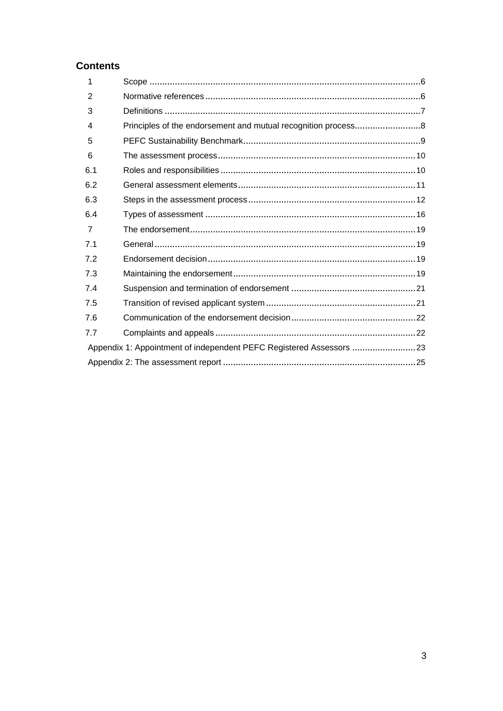### **Contents**

| 1              |                                                                     |  |
|----------------|---------------------------------------------------------------------|--|
| $\overline{2}$ |                                                                     |  |
| 3              |                                                                     |  |
| 4              |                                                                     |  |
| 5              |                                                                     |  |
| 6              |                                                                     |  |
| 6.1            |                                                                     |  |
| 6.2            |                                                                     |  |
| 6.3            |                                                                     |  |
| 6.4            |                                                                     |  |
| $\overline{7}$ |                                                                     |  |
| 7.1            |                                                                     |  |
| 7.2            |                                                                     |  |
| 7.3            |                                                                     |  |
| 7.4            |                                                                     |  |
| 7.5            |                                                                     |  |
| 7.6            |                                                                     |  |
| 7.7            |                                                                     |  |
|                | Appendix 1: Appointment of independent PEFC Registered Assessors 23 |  |
|                |                                                                     |  |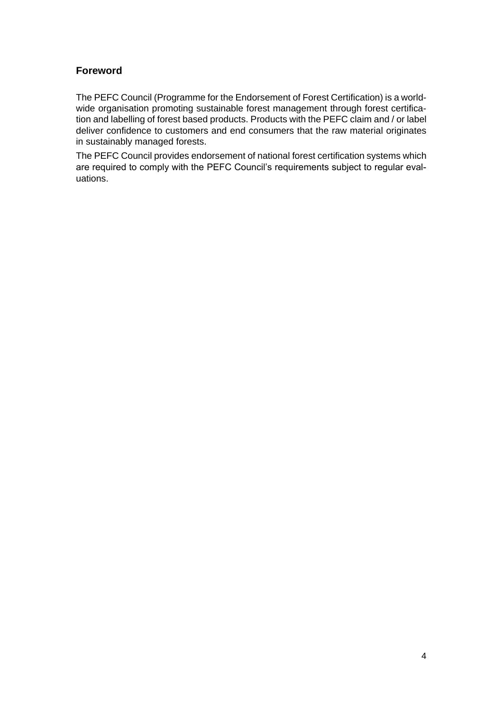#### **Foreword**

The PEFC Council (Programme for the Endorsement of Forest Certification) is a worldwide organisation promoting sustainable forest management through forest certification and labelling of forest based products. Products with the PEFC claim and / or label deliver confidence to customers and end consumers that the raw material originates in sustainably managed forests.

The PEFC Council provides endorsement of national forest certification systems which are required to comply with the PEFC Council's requirements subject to regular evaluations.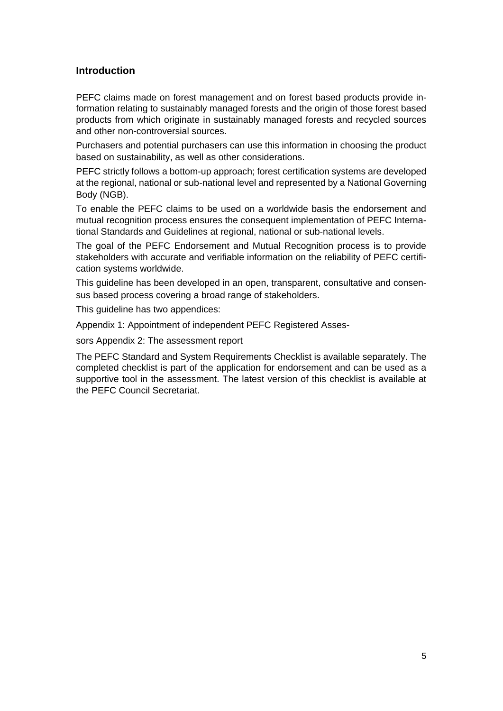#### **Introduction**

PEFC claims made on forest management and on forest based products provide information relating to sustainably managed forests and the origin of those forest based products from which originate in sustainably managed forests and recycled sources and other non-controversial sources.

Purchasers and potential purchasers can use this information in choosing the product based on sustainability, as well as other considerations.

PEFC strictly follows a bottom-up approach; forest certification systems are developed at the regional, national or sub-national level and represented by a National Governing Body (NGB).

To enable the PEFC claims to be used on a worldwide basis the endorsement and mutual recognition process ensures the consequent implementation of PEFC International Standards and Guidelines at regional, national or sub-national levels.

The goal of the PEFC Endorsement and Mutual Recognition process is to provide stakeholders with accurate and verifiable information on the reliability of PEFC certification systems worldwide.

This guideline has been developed in an open, transparent, consultative and consensus based process covering a broad range of stakeholders.

This guideline has two appendices:

Appendix 1: Appointment of independent PEFC Registered Asses-

sors Appendix 2: The assessment report

The PEFC Standard and System Requirements Checklist is available separately. The completed checklist is part of the application for endorsement and can be used as a supportive tool in the assessment. The latest version of this checklist is available at the PEFC Council Secretariat.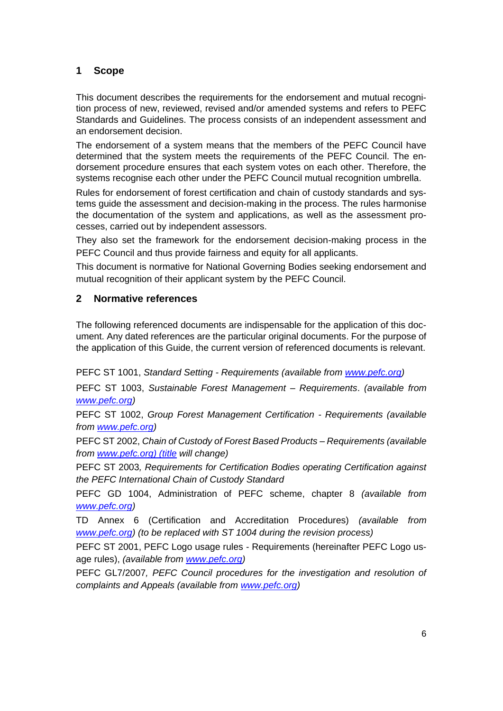#### **1 Scope**

This document describes the requirements for the endorsement and mutual recognition process of new, reviewed, revised and/or amended systems and refers to PEFC Standards and Guidelines. The process consists of an independent assessment and an endorsement decision.

The endorsement of a system means that the members of the PEFC Council have determined that the system meets the requirements of the PEFC Council. The endorsement procedure ensures that each system votes on each other. Therefore, the systems recognise each other under the PEFC Council mutual recognition umbrella.

Rules for endorsement of forest certification and chain of custody standards and systems guide the assessment and decision-making in the process. The rules harmonise the documentation of the system and applications, as well as the assessment processes, carried out by independent assessors.

They also set the framework for the endorsement decision-making process in the PEFC Council and thus provide fairness and equity for all applicants.

This document is normative for National Governing Bodies seeking endorsement and mutual recognition of their applicant system by the PEFC Council.

#### **2 Normative references**

The following referenced documents are indispensable for the application of this document. Any dated references are the particular original documents. For the purpose of the application of this Guide, the current version of referenced documents is relevant.

PEFC ST 1001, *Standard Setting - Requirements (available from www.pefc.org)*

PEFC ST 1003, *Sustainable Forest Management – Requirements*. *(available from www.pefc.org)*

PEFC ST 1002, *Group Forest Management Certification - Requirements (available from www.pefc.org)*

PEFC ST 2002, *Chain of Custody of Forest Based Products – Requirements (available from www.pefc.org) (title will change)*

PEFC ST 2003*, Requirements for Certification Bodies operating Certification against the PEFC International Chain of Custody Standard*

PEFC GD 1004, Administration of PEFC scheme, chapter 8 *(available from www.pefc.org)*

TD Annex 6 (Certification and Accreditation Procedures) *(available from www.pefc.org) (to be replaced with ST 1004 during the revision process)*

PEFC ST 2001, PEFC Logo usage rules - Requirements (hereinafter PEFC Logo usage rules), *(available from www.pefc.org)*

PEFC GL7/2007*, PEFC Council procedures for the investigation and resolution of complaints and Appeals (available from www.pefc.org)*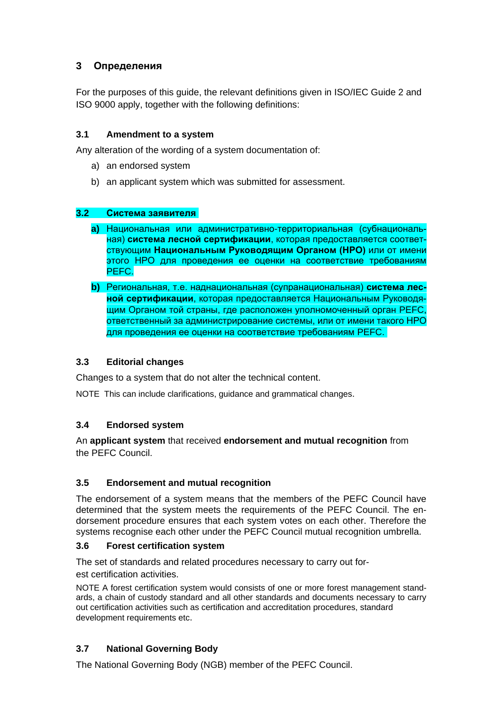#### **3 Определения**

For the purposes of this guide, the relevant definitions given in ISO/IEC Guide 2 and ISO 9000 apply, together with the following definitions:

#### **3.1 Amendment to a system**

Any alteration of the wording of a system documentation of:

- a) an endorsed system
- b) an applicant system which was submitted for assessment.

#### **3.2 Система заявителя**

- **a)** Национальная или административно-территориальная (субнациональная) **система лесной сертификации**, которая предоставляется соответствующим **Национальным Руководящим Органом (НРО)** или от имени этого НРО для проведения ее оценки на соответствие требованиям PEFC.
- **b)** Региональная, т.е. наднациональная (супранациональная) **система лесной сертификации**, которая предоставляется Национальным Руководящим Органом той страны, где расположен уполномоченный орган PEFC, ответственный за администрирование системы, или от имени такого НРО для проведения ее оценки на соответствие требованиям PEFC.

#### **3.3 Editorial changes**

Changes to a system that do not alter the technical content.

NOTE This can include clarifications, guidance and grammatical changes.

#### **3.4 Endorsed system**

An **applicant system** that received **endorsement and mutual recognition** from the PEFC Council.

#### **3.5 Endorsement and mutual recognition**

The endorsement of a system means that the members of the PEFC Council have determined that the system meets the requirements of the PEFC Council. The endorsement procedure ensures that each system votes on each other. Therefore the systems recognise each other under the PEFC Council mutual recognition umbrella.

#### **3.6 Forest certification system**

The set of standards and related procedures necessary to carry out forest certification activities.

NOTE A forest certification system would consists of one or more forest management standards, a chain of custody standard and all other standards and documents necessary to carry out certification activities such as certification and accreditation procedures, standard development requirements etc.

#### **3.7 National Governing Body**

The National Governing Body (NGB) member of the PEFC Council.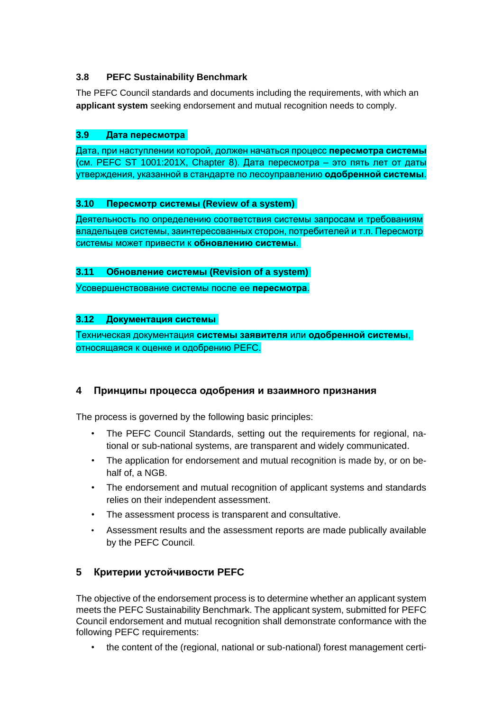#### **3.8 PEFC Sustainability Benchmark**

The PEFC Council standards and documents including the requirements, with which an **applicant system** seeking endorsement and mutual recognition needs to comply.

#### **3.9 Дата пересмотра**

Дата, при наступлении которой, должен начаться процесс **пересмотра системы** (см. PEFC ST 1001:201X, Chapter 8). Дата пересмотра – это пять лет от даты утверждения, указанной в стандарте по лесоуправлению **одобренной системы**.

#### **3.10 Пересмотр системы (Review of a system)**

Деятельность по определению соответствия системы запросам и требованиям владельцев системы, заинтересованных сторон, потребителей и т.п. Пересмотр системы может привести к **обновлению системы**.

#### **3.11 Обновление системы (Revision of a system)**

Усовершенствование системы после ее **пересмотра**.

#### **3.12 Документация системы**

Техническая документация **системы заявителя** или **одобренной системы**, относящаяся к оценке и одобрению PEFC.

#### **4 Принципы процесса одобрения и взаимного признания**

The process is governed by the following basic principles:

- The PEFC Council Standards, setting out the requirements for regional, national or sub-national systems, are transparent and widely communicated.
- The application for endorsement and mutual recognition is made by, or on behalf of, a NGB.
- The endorsement and mutual recognition of applicant systems and standards relies on their independent assessment.
- The assessment process is transparent and consultative.
- Assessment results and the assessment reports are made publically available by the PEFC Council.

#### **5 Критерии устойчивости PEFC**

The objective of the endorsement process is to determine whether an applicant system meets the PEFC Sustainability Benchmark. The applicant system, submitted for PEFC Council endorsement and mutual recognition shall demonstrate conformance with the following PEFC requirements:

• the content of the (regional, national or sub-national) forest management certi-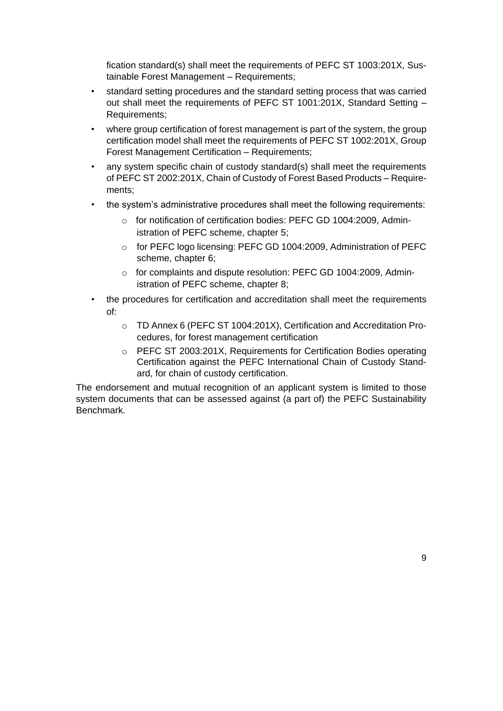fication standard(s) shall meet the requirements of PEFC ST 1003:201X, Sustainable Forest Management – Requirements;

- standard setting procedures and the standard setting process that was carried out shall meet the requirements of PEFC ST 1001:201X, Standard Setting – Requirements;
- where group certification of forest management is part of the system, the group certification model shall meet the requirements of PEFC ST 1002:201X, Group Forest Management Certification – Requirements;
- any system specific chain of custody standard(s) shall meet the requirements of PEFC ST 2002:201X, Chain of Custody of Forest Based Products – Requirements;
- the system's administrative procedures shall meet the following requirements:
	- o for notification of certification bodies: PEFC GD 1004:2009, Administration of PEFC scheme, chapter 5;
	- o for PEFC logo licensing: PEFC GD 1004:2009, Administration of PEFC scheme, chapter 6;
	- o for complaints and dispute resolution: PEFC GD 1004:2009, Administration of PEFC scheme, chapter 8;
- the procedures for certification and accreditation shall meet the requirements of:
	- o TD Annex 6 (PEFC ST 1004:201X), Certification and Accreditation Procedures, for forest management certification
	- $\circ$  PEFC ST 2003:201X, Requirements for Certification Bodies operating Certification against the PEFC International Chain of Custody Standard, for chain of custody certification.

The endorsement and mutual recognition of an applicant system is limited to those system documents that can be assessed against (a part of) the PEFC Sustainability Benchmark.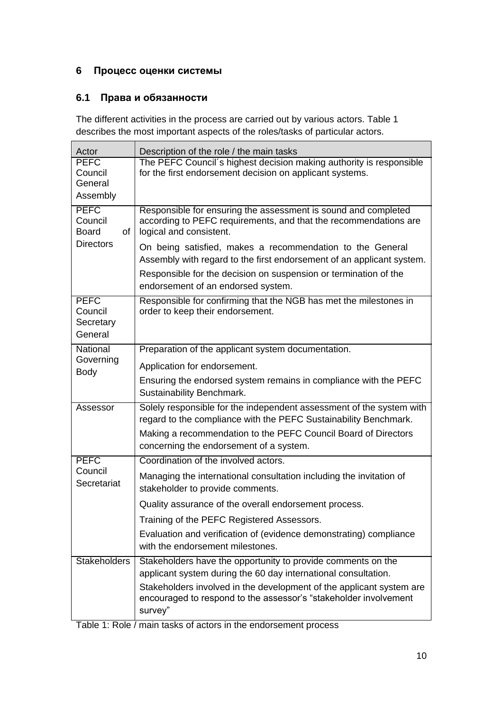### **6 Процесс оценки системы**

#### **6.1 Права и обязанности**

The different activities in the process are carried out by various actors. Table 1 describes the most important aspects of the roles/tasks of particular actors.

| Actor                                          | Description of the role / the main tasks                                                                                                                                                                                                              |  |  |  |  |  |
|------------------------------------------------|-------------------------------------------------------------------------------------------------------------------------------------------------------------------------------------------------------------------------------------------------------|--|--|--|--|--|
| <b>PEFC</b><br>Council<br>General<br>Assembly  | The PEFC Council's highest decision making authority is responsible<br>for the first endorsement decision on applicant systems.                                                                                                                       |  |  |  |  |  |
| <b>PEFC</b><br>Council<br><b>Board</b><br>of   | Responsible for ensuring the assessment is sound and completed<br>according to PEFC requirements, and that the recommendations are<br>logical and consistent.                                                                                         |  |  |  |  |  |
| <b>Directors</b>                               | On being satisfied, makes a recommendation to the General<br>Assembly with regard to the first endorsement of an applicant system.<br>Responsible for the decision on suspension or termination of the                                                |  |  |  |  |  |
| <b>PEFC</b><br>Council<br>Secretary<br>General | endorsement of an endorsed system.<br>Responsible for confirming that the NGB has met the milestones in<br>order to keep their endorsement.                                                                                                           |  |  |  |  |  |
| National                                       | Preparation of the applicant system documentation.                                                                                                                                                                                                    |  |  |  |  |  |
| Governing                                      | Application for endorsement.                                                                                                                                                                                                                          |  |  |  |  |  |
| Body                                           | Ensuring the endorsed system remains in compliance with the PEFC<br>Sustainability Benchmark.                                                                                                                                                         |  |  |  |  |  |
| Assessor                                       | Solely responsible for the independent assessment of the system with<br>regard to the compliance with the PEFC Sustainability Benchmark.<br>Making a recommendation to the PEFC Council Board of Directors<br>concerning the endorsement of a system. |  |  |  |  |  |
| <b>PEFC</b>                                    | Coordination of the involved actors.                                                                                                                                                                                                                  |  |  |  |  |  |
| Council<br>Secretariat                         | Managing the international consultation including the invitation of<br>stakeholder to provide comments.                                                                                                                                               |  |  |  |  |  |
|                                                | Quality assurance of the overall endorsement process.                                                                                                                                                                                                 |  |  |  |  |  |
|                                                | Training of the PEFC Registered Assessors.                                                                                                                                                                                                            |  |  |  |  |  |
|                                                | Evaluation and verification of (evidence demonstrating) compliance<br>with the endorsement milestones.                                                                                                                                                |  |  |  |  |  |
| <b>Stakeholders</b>                            | Stakeholders have the opportunity to provide comments on the<br>applicant system during the 60 day international consultation.                                                                                                                        |  |  |  |  |  |
|                                                | Stakeholders involved in the development of the applicant system are<br>encouraged to respond to the assessor's "stakeholder involvement<br>survey"                                                                                                   |  |  |  |  |  |

Table 1: Role / main tasks of actors in the endorsement process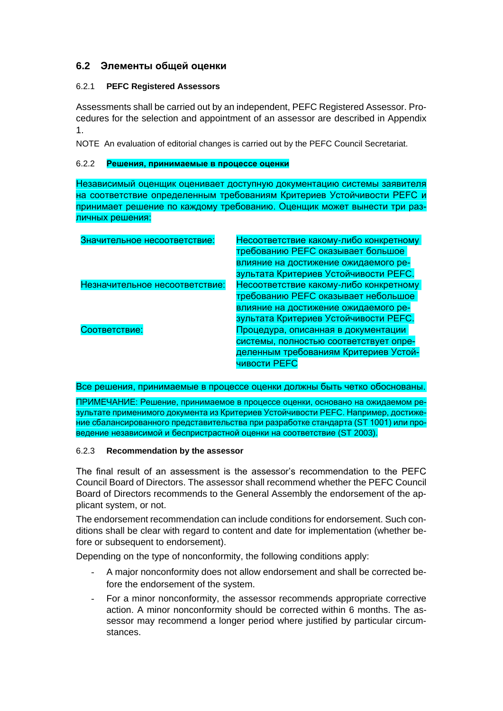#### **6.2 Элементы общей оценки**

#### 6.2.1 **PEFC Registered Assessors**

Assessments shall be carried out by an independent, PEFC Registered Assessor. Procedures for the selection and appointment of an assessor are described in Appendix 1.

NOTE An evaluation of editorial changes is carried out by the PEFC Council Secretariat.

#### 6.2.2 **Решения, принимаемые в процессе оценки**

Независимый оценщик оценивает доступную документацию системы заявителя на соответствие определенным требованиям Критериев Устойчивости PEFC и принимает решение по каждому требованию. Оценщик может вынести три различных решения:

| Значительное несоответствие:   | Несоответствие какому-либо конкретному   |  |  |  |
|--------------------------------|------------------------------------------|--|--|--|
|                                | <b>требованию PEFC оказывает большое</b> |  |  |  |
|                                | влияние на достижение ожидаемого ре-     |  |  |  |
|                                | зультата Критериев Устойчивости РЕГС.    |  |  |  |
| Незначительное несоответствие: | Несоответствие какому-либо конкретному   |  |  |  |
|                                | требованию РЕГС оказывает небольшое      |  |  |  |
|                                | влияние на достижение ожидаемого ре-     |  |  |  |
|                                | зультата Критериев Устойчивости РЕГС.    |  |  |  |
| Соответствие:                  | Процедура, описанная в документации      |  |  |  |
|                                | системы, полностью соответствует опре-   |  |  |  |
|                                | деленным требованиям Критериев Устой-    |  |  |  |
|                                | <b>ЧИВОСТИ PEFC</b>                      |  |  |  |

Все решения, принимаемые в процессе оценки должны быть четко обоснованы.

ПРИМЕЧАНИЕ: Решение, принимаемое в процессе оценки, основано на ожидаемом результате применимого документа из Критериев Устойчивости PEFC. Например, достижение сбалансированного представительства при разработке стандарта (ST 1001) или проведение независимой и беспристрастной оценки на соответствие (ST 2003).

#### 6.2.3 **Recommendation by the assessor**

The final result of an assessment is the assessor's recommendation to the PEFC Council Board of Directors. The assessor shall recommend whether the PEFC Council Board of Directors recommends to the General Assembly the endorsement of the applicant system, or not.

The endorsement recommendation can include conditions for endorsement. Such conditions shall be clear with regard to content and date for implementation (whether before or subsequent to endorsement).

Depending on the type of nonconformity, the following conditions apply:

- A major nonconformity does not allow endorsement and shall be corrected before the endorsement of the system.
- For a minor nonconformity, the assessor recommends appropriate corrective action. A minor nonconformity should be corrected within 6 months. The assessor may recommend a longer period where justified by particular circumstances.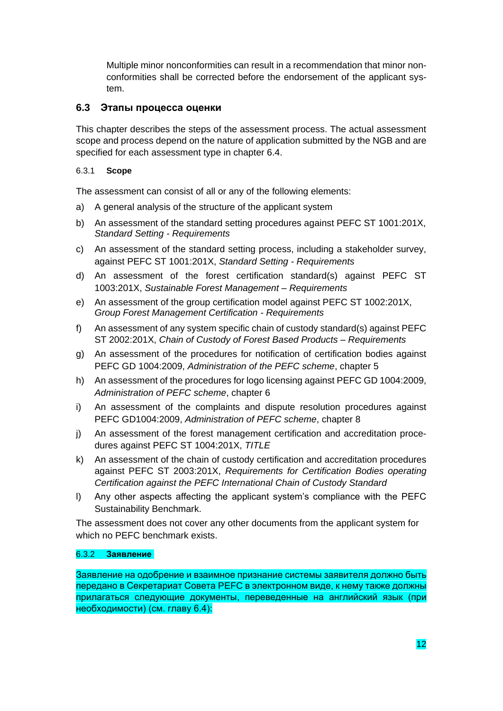Multiple minor nonconformities can result in a recommendation that minor nonconformities shall be corrected before the endorsement of the applicant system.

#### **6.3 Этапы процесса оценки**

This chapter describes the steps of the assessment process. The actual assessment scope and process depend on the nature of application submitted by the NGB and are specified for each assessment type in chapter 6.4.

#### 6.3.1 **Scope**

The assessment can consist of all or any of the following elements:

- a) A general analysis of the structure of the applicant system
- b) An assessment of the standard setting procedures against PEFC ST 1001:201X, *Standard Setting - Requirements*
- c) An assessment of the standard setting process, including a stakeholder survey, against PEFC ST 1001:201X, *Standard Setting - Requirements*
- d) An assessment of the forest certification standard(s) against PEFC ST 1003:201X, *Sustainable Forest Management – Requirements*
- e) An assessment of the group certification model against PEFC ST 1002:201X, *Group Forest Management Certification - Requirements*
- f) An assessment of any system specific chain of custody standard(s) against PEFC ST 2002:201X, *Chain of Custody of Forest Based Products – Requirements*
- g) An assessment of the procedures for notification of certification bodies against PEFC GD 1004:2009, *Administration of the PEFC scheme*, chapter 5
- h) An assessment of the procedures for logo licensing against PEFC GD 1004:2009, *Administration of PEFC scheme*, chapter 6
- i) An assessment of the complaints and dispute resolution procedures against PEFC GD1004:2009, *Administration of PEFC scheme*, chapter 8
- j) An assessment of the forest management certification and accreditation procedures against PEFC ST 1004:201X, *TITLE*
- k) An assessment of the chain of custody certification and accreditation procedures against PEFC ST 2003:201X, *Requirements for Certification Bodies operating Certification against the PEFC International Chain of Custody Standard*
- l) Any other aspects affecting the applicant system's compliance with the PEFC Sustainability Benchmark.

The assessment does not cover any other documents from the applicant system for which no PEFC benchmark exists.

#### 6.3.2 **Заявление**

Заявление на одобрение и взаимное признание системы заявителя должно быть передано в Секретариат Совета PEFC в электронном виде, к нему также должны прилагаться следующие документы, переведенные на английский язык (при необходимости) (см. главу 6.4):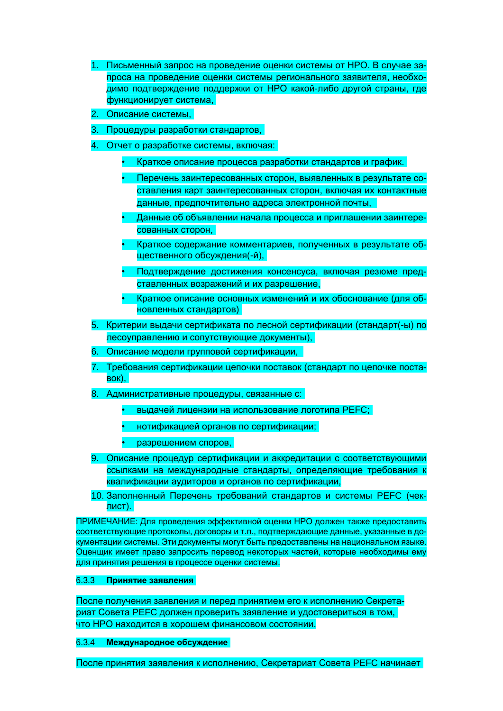- 1. Письменный запрос на проведение оценки системы от НРО. В случае запроса на проведение оценки системы регионального заявителя, необходимо подтверждение поддержки от НРО какой-либо другой страны, где функционирует система,
- 2. Описание системы,
- 3. Процедуры разработки стандартов,
- 4. Отчет о разработке системы, включая:
	- Краткое описание процесса разработки стандартов и график.
	- Перечень заинтересованных сторон, выявленных в результате составления карт заинтересованных сторон, включая их контактные данные, предпочтительно адреса электронной почты,
	- Данные об объявлении начала процесса и приглашении заинтересованных сторон,
	- Краткое содержание комментариев, полученных в результате общественного обсуждения(-й),
	- Подтверждение достижения консенсуса, включая резюме представленных возражений и их разрешение,
	- Краткое описание основных изменений и их обоснование (для обновленных стандартов)
- 5. Критерии выдачи сертификата по лесной сертификации (стандарт(-ы) по лесоуправлению и сопутствующие документы),
- 6. Описание модели групповой сертификации,
- 7. Требования сертификации цепочки поставок (стандарт по цепочке поставок),
- 8. Административные процедуры, связанные с:
	- выдачей лицензии на использование логотипа PEFC;
	- нотификацией органов по сертификации;
	- разрешением споров,
- 9. Описание процедур сертификации и аккредитации с соответствующими ссылками на международные стандарты, определяющие требования к квалификации аудиторов и органов по сертификации,
- 10. Заполненный Перечень требований стандартов и системы PEFC (чеклист).

ПРИМЕЧАНИЕ: Для проведения эффективной оценки НРО должен также предоставить соответствующие протоколы, договоры и т.п., подтверждающие данные, указанные в документации системы. Эти документы могут быть предоставлены на национальном языке. Оценщик имеет право запросить перевод некоторых частей, которые необходимы ему для принятия решения в процессе оценки системы.

#### 6.3.3 **Принятие заявления**

После получения заявления и перед принятием его к исполнению Секретариат Совета PEFC должен проверить заявление и удостовериться в том, что НРО находится в хорошем финансовом состоянии.

6.3.4 **Международное обсуждение**

После принятия заявления к исполнению, Секретариат Совета PEFC начинает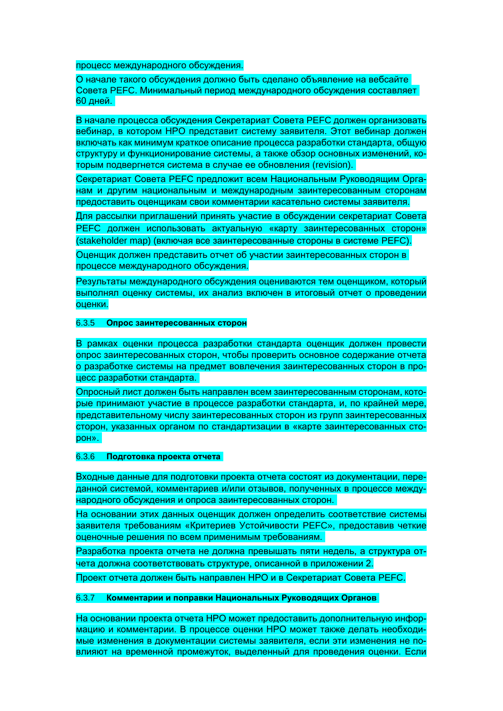процесс международного обсуждения.

О начале такого обсуждения должно быть сделано объявление на вебсайте Совета PEFC. Минимальный период международного обсуждения составляет **60 дней.** 

В начале процесса обсуждения Секретариат Совета PEFC должен организовать вебинар, в котором НРО представит систему заявителя. Этот вебинар должен включать как минимум краткое описание процесса разработки стандарта, общую структуру и функционирование системы, а также обзор основных изменений, которым подвергнется система в случае ее обновления (revision).

Секретариат Совета PEFC предложит всем Национальным Руководящим Органам и другим национальным и международным заинтересованным сторонам предоставить оценщикам свои комментарии касательно системы заявителя.

Для рассылки приглашений принять участие в обсуждении секретариат Совета PEFC должен использовать актуальную «карту заинтересованных сторон» (stakeholder map) (включая все заинтересованные стороны в системе PEFC).

Оценщик должен представить отчет об участии заинтересованных сторон в процессе международного обсуждения.

Результаты международного обсуждения оцениваются тем оценщиком, который выполнял оценку системы, их анализ включен в итоговый отчет о проведении оценки.

#### 6.3.5 **Опрос заинтересованных сторон**

В рамках оценки процесса разработки стандарта оценщик должен провести опрос заинтересованных сторон, чтобы проверить основное содержание отчета о разработке системы на предмет вовлечения заинтересованных сторон в процесс разработки стандарта.

Опросный лист должен быть направлен всем заинтересованным сторонам, которые принимают участие в процессе разработки стандарта, и, по крайней мере, представительному числу заинтересованных сторон из групп заинтересованных сторон, указанных органом по стандартизации в «карте заинтересованных сторон».

#### 6.3.6 **Подготовка проекта отчета**

Входные данные для подготовки проекта отчета состоят из документации, переданной системой, комментариев и/или отзывов, полученных в процессе международного обсуждения и опроса заинтересованных сторон.

На основании этих данных оценщик должен определить соответствие системы заявителя требованиям «Критериев Устойчивости PEFC», предоставив четкие оценочные решения по всем применимым требованиям.

Разработка проекта отчета не должна превышать пяти недель, а структура отчета должна соответствовать структуре, описанной в приложении 2.

Проект отчета должен быть направлен НРО и в Секретариат Совета PEFC.

#### 6.3.7 **Комментарии и поправки Национальных Руководящих Органов**

На основании проекта отчета НРО может предоставить дополнительную информацию и комментарии. В процессе оценки НРО может также делать необходимые изменения в документации системы заявителя, если эти изменения не повлияют на временной промежуток, выделенный для проведения оценки. Если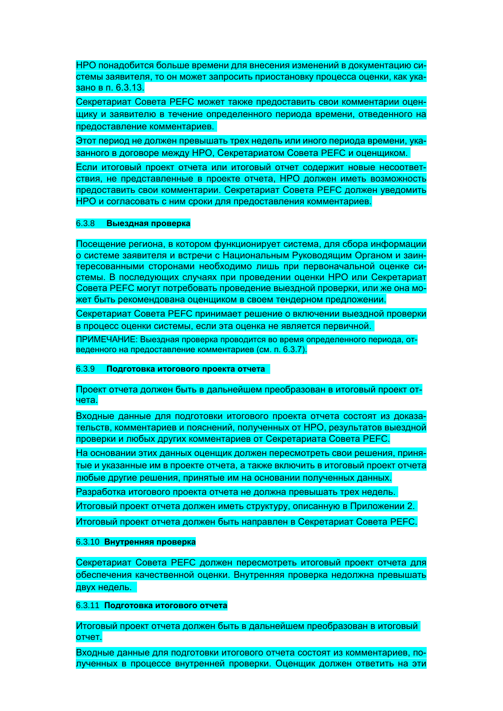НРО понадобится больше времени для внесения изменений в документацию системы заявителя, то он может запросить приостановку процесса оценки, как указано в п. 6.3.13.

Секретариат Совета PEFC может также предоставить свои комментарии оценщику и заявителю в течение определенного периода времени, отведенного на предоставление комментариев.

Этот период не должен превышать трех недель или иного периода времени, указанного в договоре между НРО, Секретариатом Совета PEFC и оценщиком.

Если итоговый проект отчета или итоговый отчет содержит новые несоответствия, не представленные в проекте отчета, НРО должен иметь возможность предоставить свои комментарии. Секретариат Совета PEFC должен уведомить НРО и согласовать с ним сроки для предоставления комментариев.

#### 6.3.8 **Выездная проверка**

Посещение региона, в котором функционирует система, для сбора информации о системе заявителя и встречи с Национальным Руководящим Органом и заинтересованными сторонами необходимо лишь при первоначальной оценке системы. В последующих случаях при проведении оценки НРО или Секретариат Совета PEFC могут потребовать проведение выездной проверки, или же она может быть рекомендована оценщиком в своем тендерном предложении.

Секретариат Совета PEFC принимает решение о включении выездной проверки в процесс оценки системы, если эта оценка не является первичной.

ПРИМЕЧАНИЕ: Выездная проверка проводится во время определенного периода, отведенного на предоставление комментариев (см. п. 6.3.7).

#### 6.3.9 **Подготовка итогового проекта отчета**

#### Проект отчета должен быть в дальнейшем преобразован в итоговый проект отчета.

Входные данные для подготовки итогового проекта отчета состоят из доказательств, комментариев и пояснений, полученных от НРО, результатов выездной проверки и любых других комментариев от Секретариата Совета PEFC.

На основании этих данных оценщик должен пересмотреть свои решения, принятые и указанные им в проекте отчета, а также включить в итоговый проект отчета любые другие решения, принятые им на основании полученных данных.

Разработка итогового проекта отчета не должна превышать трех недель.

Итоговый проект отчета должен иметь структуру, описанную в Приложении 2.

Итоговый проект отчета должен быть направлен в Секретариат Совета PEFC.

#### 6.3.10 **Внутренняя проверка**

Секретариат Совета PEFC должен пересмотреть итоговый проект отчета для обеспечения качественной оценки. Внутренняя проверка недолжна превышать двух недель.

#### 6.3.11 **Подготовка итогового отчета**

Итоговый проект отчета должен быть в дальнейшем преобразован в итоговый отчет.

Входные данные для подготовки итогового отчета состоят из комментариев, полученных в процессе внутренней проверки. Оценщик должен ответить на эти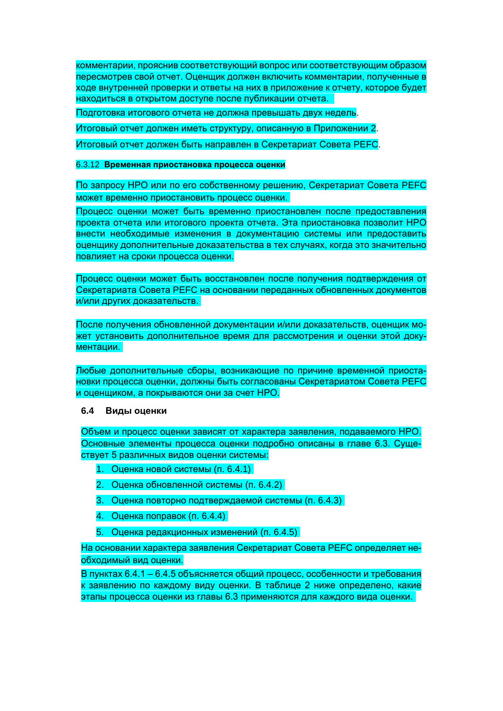комментарии, прояснив соответствующий вопрос или соответствующим образом пересмотрев свой отчет. Оценщик должен включить комментарии, полученные в ходе внутренней проверки и ответы на них в приложение к отчету, которое будет находиться в открытом доступе после публикации отчета.

Подготовка итогового отчета не должна превышать двух недель.

Итоговый отчет должен иметь структуру, описанную в Приложении 2.

Итоговый отчет должен быть направлен в Секретариат Совета РЕГС.

#### 6.3.12 Временная приостановка процесса оценки

По запросу НРО или по его собственному решению, Секретариат Совета РЕГС может временно приостановить процесс оценки.

Процесс оценки может быть временно приостановлен после предоставления проекта отчета или итогового проекта отчета. Эта приостановка позволит НРО внести необходимые изменения в документацию системы или предоставить оценщику дополнительные доказательства в тех случаях, когда это значительно повлияет на сроки процесса оценки.

Процесс оценки может быть восстановлен после получения подтверждения от Секретариата Совета РЕГС на основании переданных обновленных документов и/или других доказательств.

После получения обновленной документации и/или доказательств, оценщик может установить дополнительное время для рассмотрения и оценки этой документации.

Любые дополнительные сборы, возникающие по причине временной приостановки процесса оценки, должны быть согласованы Секретариатом Совета РЕГС и оценщиком, а покрываются они за счет HPO.

#### 6.4 Виды оценки

Объем и процесс оценки зависят от характера заявления, подаваемого НРО. Основные элементы процесса оценки подробно описаны в главе 6.3. Существует 5 различных видов оценки системы:

- 1. Оценка новой системы (п. 6.4.1)
- 2. Оценка обновленной системы (п. 6.4.2)
- 3. Оценка повторно подтверждаемой системы (п. 6.4.3)
- $\overline{4}$ Оценка поправок (п. 6.4.4)
- $5<sub>1</sub>$ Оценка редакционных изменений (п. 6.4.5)

На основании характера заявления Секретариат Совета РЕГС определяет необходимый вид оценки.

В пунктах 6.4.1 - 6.4.5 объясняется общий процесс, особенности и требования к заявлению по каждому виду оценки. В таблице 2 ниже определено, какие этапы процесса оценки из главы 6.3 применяются для каждого вида оценки.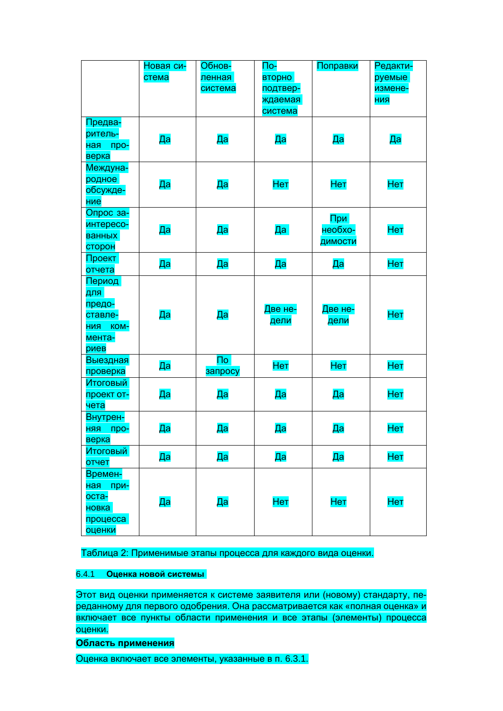|                    | Новая си- | Обнов-                  | $\overline{\text{no}}$ | Поправки       | Редакти-   |
|--------------------|-----------|-------------------------|------------------------|----------------|------------|
|                    | стема     | ленная                  | вторно                 |                | руемые     |
|                    |           | система                 | подтвер-               |                | измене-    |
|                    |           |                         | ждаемая                |                | <b>НИЯ</b> |
|                    |           |                         | система                |                |            |
| Предва-            |           |                         |                        |                |            |
| ритель-            |           |                         |                        |                |            |
| <u>ная</u><br>про- | Да        | Да                      | Да                     | Да             | Да         |
| верка              |           |                         |                        |                |            |
| Междуна-           |           |                         |                        |                |            |
| родное             |           |                         |                        |                |            |
| обсужде-           | Да        | Да                      | Нет                    | Нет            | <b>Нет</b> |
| ние                |           |                         |                        |                |            |
| Опрос за-          |           |                         |                        |                |            |
| интересо-          |           |                         |                        | При<br>необхо- |            |
| <b>ванных</b>      | Да        | Да                      | Да                     |                | <b>Нет</b> |
| сторон             |           |                         |                        | димости        |            |
| Проект             |           |                         |                        |                |            |
| отчета             | Да        | Да                      | Да                     | Да             | Нет        |
| Период             |           |                         |                        |                |            |
| для                |           |                         |                        |                |            |
| предо-             |           |                         |                        |                |            |
| ставле-            | Да        | Да                      | Две не-                | Две не-        | <b>Het</b> |
| НИЯ КОМ-           |           |                         | дели                   | дели           |            |
| мента-             |           |                         |                        |                |            |
| риев               |           |                         |                        |                |            |
| Выездная           |           | $\overline{\mathsf{p}}$ |                        |                |            |
| проверка           | Дa        | запросу                 | <b>Het</b>             | Hет            | <b>Het</b> |
| Итоговый           |           |                         |                        |                |            |
| проект от-         | Да        | Да                      | Да                     | Да             | <b>Нет</b> |
| чета               |           |                         |                        |                |            |
| Внутрен-           |           |                         |                        |                |            |
| про-<br>RRH        | Да        | Да                      | Да                     | Да             | <b>Нет</b> |
| верка              |           |                         |                        |                |            |
| Итоговый           |           |                         |                        |                |            |
| отчет              | Дa        | Дa                      | Дa                     | Да             | <b>Нет</b> |
| Времен-            |           |                         |                        |                |            |
| при-<br>ная        |           |                         |                        |                |            |
| оста-              |           |                         | Нет                    | <b>Нет</b>     | <b>Нет</b> |
| новка              | Да        | Да                      |                        |                |            |
| процесса           |           |                         |                        |                |            |
| оценки             |           |                         |                        |                |            |

Таблица 2: Применимые этапы процесса для каждого вида оценки.

#### $6.4.1$ Оценка новой системы

Этот вид оценки применяется к системе заявителя или (новому) стандарту, переданному для первого одобрения. Она рассматривается как «полная оценка» и включает все пункты области применения и все этапы (элементы) процесса оценки.

Область применения

Оценка включает все элементы, указанные в п. 6.3.1.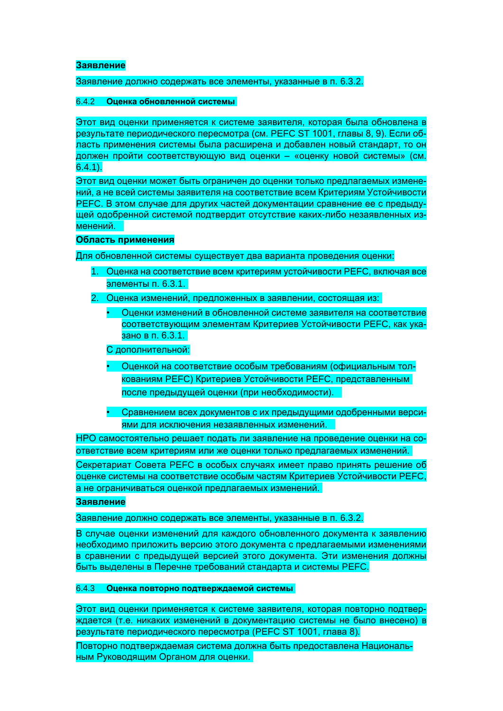#### Заявление

#### Заявление должно содержать все элементы, указанные в п. 6.3.2.

#### $6.4.2$ Оценка обновленной системы

Этот вид оценки применяется к системе заявителя, которая была обновлена в результате периодического пересмотра (см. РЕFC ST 1001, главы 8, 9). Если область применения системы была расширена и добавлен новый стандарт, то он должен пройти соответствующую вид оценки - «оценку новой системы» (см.  $6.4.1$ ).

Этот вид оценки может быть ограничен до оценки только предлагаемых изменений, а не всей системы заявителя на соответствие всем Критериям Устойчивости РЕГС. В этом случае для других частей документации сравнение ее с предыдущей одобренной системой подтвердит отсутствие каких-либо незаявленных изменений.

#### Область применения

Для обновленной системы существует два варианта проведения оценки:

- Оценка на соответствие всем критериям устойчивости РЕГС, включая все  $1<sup>1</sup>$ элементы п. 6.3.1.
- $2<sub>1</sub>$ Оценка изменений, предложенных в заявлении, состоящая из:
	- Оценки изменений в обновленной системе заявителя на соответствие соответствующим элементам Критериев Устойчивости РЕГС, как указано в п. 6.3.1.

С дополнительной:

- Оценкой на соответствие особым требованиям (официальным толкованиям РЕFС) Критериев Устойчивости РЕFС, представленным после предыдущей оценки (при необходимости).
- Сравнением всех документов с их предыдущими одобренными версиями для исключения незаявленных изменений.

НРО самостоятельно решает подать ли заявление на проведение оценки на соответствие всем критериям или же оценки только предлагаемых изменений. Секретариат Совета РЕГС в особых случаях имеет право принять решение об оценке системы на соответствие особым частям Критериев Устойчивости РЕГС. а не ограничиваться оценкой предлагаемых изменений.

#### Заявление

Заявление должно содержать все элементы, указанные в п. 6.3.2.

В случае оценки изменений для каждого обновленного документа к заявлению необходимо приложить версию этого документа с предлагаемыми изменениями в сравнении с предыдущей версией этого документа. Эти изменения должны быть выделены в Перечне требований стандарта и системы РЕГС.

#### 6.4.3 Оценка повторно подтверждаемой системы

Этот вид оценки применяется к системе заявителя, которая повторно подтверждается (т.е. никаких изменений в документацию системы не было внесено) в результате периодического пересмотра (PEFC ST 1001, глава 8).

Повторно подтверждаемая система должна быть предоставлена Национальным Руководящим Органом для оценки.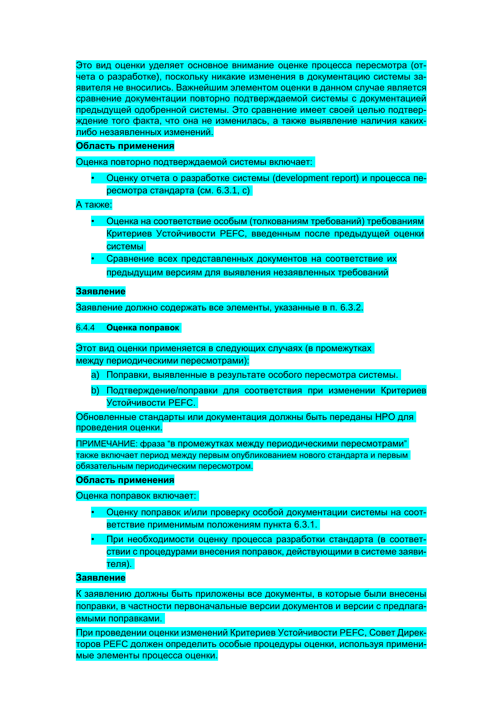Это вид оценки уделяет основное внимание оценке процесса пересмотра (отчета о разработке), поскольку никакие изменения в документацию системы заявителя не вносились. Важнейшим элементом оценки в данном случае является сравнение документации повторно подтверждаемой системы с документацией предыдущей одобренной системы. Это сравнение имеет своей целью подтверждение того факта, что она не изменилась, а также выявление наличия какихлибо незаявленных изменений.

#### Область применения

Оценка повторно подтверждаемой системы включает:

Оценку отчета о разработке системы (development report) и процесса пересмотра стандарта (см. 6.3.1, с)

А также:

- Оценка на соответствие особым (толкованиям требований) требованиям Критериев Устойчивости РЕГС, введенным после предыдущей оценки системы
- Сравнение всех представленных документов на соответствие их предыдущим версиям для выявления незаявленных требований

#### Заявление

Заявление должно содержать все элементы, указанные в п. 6.3.2.

#### $6.4.4$ Оценка поправок

Этот вид оценки применяется в следующих случаях (в промежутках между периодическими пересмотрами):

- а) Поправки, выявленные в результате особого пересмотра системы.
- b) Подтверждение/поправки для соответствия при изменении Критериев Устойчивости РЕЕС.

Обновленные стандарты или документация должны быть переданы НРО для проведения оценки.

ПРИМЕЧАНИЕ: фраза "в промежутках между периодическими пересмотрами" также включает период между первым опубликованием нового стандарта и первым обязательным периодическим пересмотром.

#### Область применения

Оценка поправок включает:

- Оценку поправок и/или проверку особой документации системы на соответствие применимым положениям пункта 6.3.1.
- При необходимости оценку процесса разработки стандарта (в соответствии с процедурами внесения поправок, действующими в системе заявителя).

#### Заявление

К заявлению должны быть приложены все документы, в которые были внесены поправки, в частности первоначальные версии документов и версии с предлагаемыми поправками.

При проведении оценки изменений Критериев Устойчивости РЕГС, Совет Директоров РЕГС должен определить особые процедуры оценки, используя применимые элементы процесса оценки.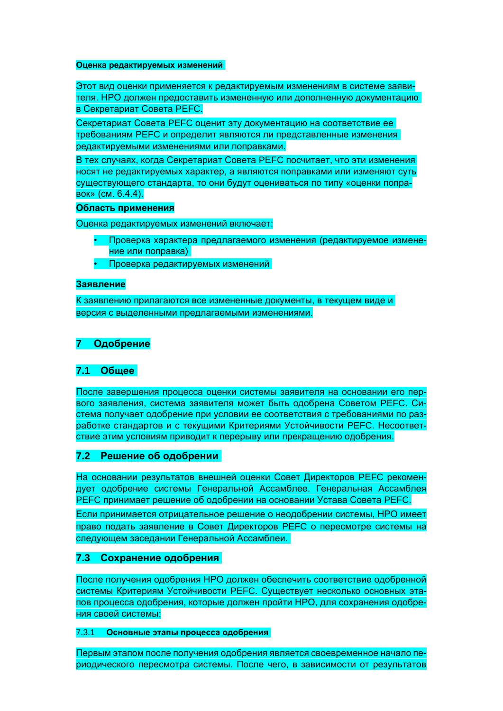#### **Оценка редактируемых изменений**

Этот вид оценки применяется к редактируемым изменениям в системе заявителя. НРО должен предоставить измененную или дополненную документацию в Секретариат Совета PEFC.

Секретариат Совета PEFC оценит эту документацию на соответствие ее требованиям PEFC и определит являются ли представленные изменения редактируемыми изменениями или поправками.

В тех случаях, когда Секретариат Совета PEFC посчитает, что эти изменения носят не редактируемых характер, а являются поправками или изменяют суть существующего стандарта, то они будут оцениваться по типу «оценки поправок» (см. 6.4.4).

#### **Область применения**

Оценка редактируемых изменений включает:

- Проверка характера предлагаемого изменения (редактируемое изменение или поправка)
- Проверка редактируемых изменений

#### **Заявление**

К заявлению прилагаются все измененные документы, в текущем виде и версия с выделенными предлагаемыми изменениями.

#### **7 Одобрение**

#### **7.1 Общее**

После завершения процесса оценки системы заявителя на основании его первого заявления, система заявителя может быть одобрена Советом PEFC. Система получает одобрение при условии ее соответствия с требованиями по разработке стандартов и с текущими Критериями Устойчивости PEFC. Несоответствие этим условиям приводит к перерыву или прекращению одобрения.

#### **7.2 Решение об одобрении**

На основании результатов внешней оценки Совет Директоров PEFC рекомендует одобрение системы Генеральной Ассамблее. Генеральная Ассамблея PEFC принимает решение об одобрении на основании Устава Совета PEFC. Если принимается отрицательное решение о неодобрении системы, НРО имеет

право подать заявление в Совет Директоров PEFC о пересмотре системы на следующем заседании Генеральной Ассамблеи.

#### **7.3 Сохранение одобрения**

После получения одобрения НРО должен обеспечить соответствие одобренной системы Критериям Устойчивости PEFC. Существует несколько основных этапов процесса одобрения, которые должен пройти НРО, для сохранения одобрения своей системы:

#### 7.3.1 **Основные этапы процесса одобрения**

Первым этапом после получения одобрения является своевременное начало периодического пересмотра системы. После чего, в зависимости от результатов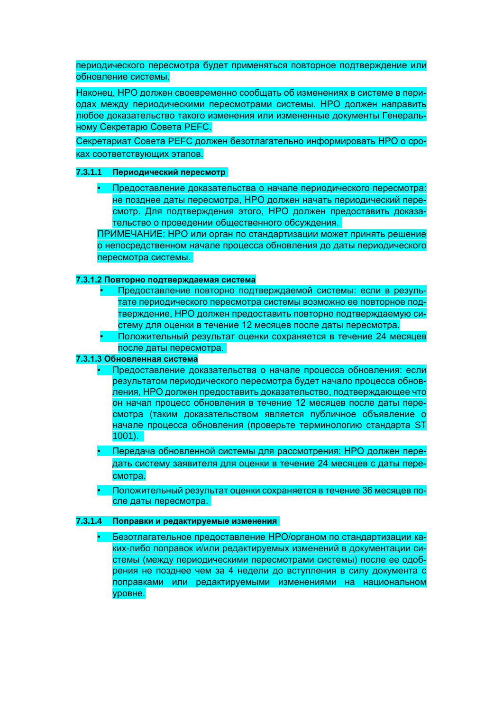периодического пересмотра будет применяться повторное подтверждение или обновление системы.

Наконец, НРО должен своевременно сообщать об изменениях в системе в периодах между периодическими пересмотрами системы. НРО должен направить любое доказательство такого изменения или измененные документы Генеральному Секретарю Совета PEFC.

Секретариат Совета PEFC должен безотлагательно информировать НРО о сроках соответствующих этапов.

#### **7.3.1.1 Периодический пересмотр**

• Предоставление доказательства о начале периодического пересмотра: не позднее даты пересмотра, НРО должен начать периодический пересмотр. Для подтверждения этого, НРО должен предоставить доказательство о проведении общественного обсуждения.

ПРИМЕЧАНИЕ: НРО или орган по стандартизации может принять решение о непосредственном начале процесса обновления до даты периодического пересмотра системы.

#### **7.3.1.2 Повторно подтверждаемая система**

- Предоставление повторно подтверждаемой системы: если в результате периодического пересмотра системы возможно ее повторное подтверждение, НРО должен предоставить повторно подтверждаемую систему для оценки в течение 12 месяцев после даты пересмотра.
- Положительный результат оценки сохраняется в течение 24 месяцев после даты пересмотра.

#### **7.3.1.3 Обновленная система**

- Предоставление доказательства о начале процесса обновления: если результатом периодического пересмотра будет начало процесса обновления, НРО должен предоставить доказательство, подтверждающее что он начал процесс обновления в течение 12 месяцев после даты пересмотра (таким доказательством является публичное объявление о начале процесса обновления (проверьте терминологию стандарта ST 1001).
- Передача обновленной системы для рассмотрения: НРО должен передать систему заявителя для оценки в течение 24 месяцев с даты пересмотра.
- Положительный результат оценки сохраняется в течение 36 месяцев после даты пересмотра.

#### **7.3.1.4 Поправки и редактируемые изменения**

• Безотлагательное предоставление НРО/органом по стандартизации каких-либо поправок и/или редактируемых изменений в документации системы (между периодическими пересмотрами системы) после ее одобрения не позднее чем за 4 недели до вступления в силу документа с поправками или редактируемыми изменениями на национальном уровне.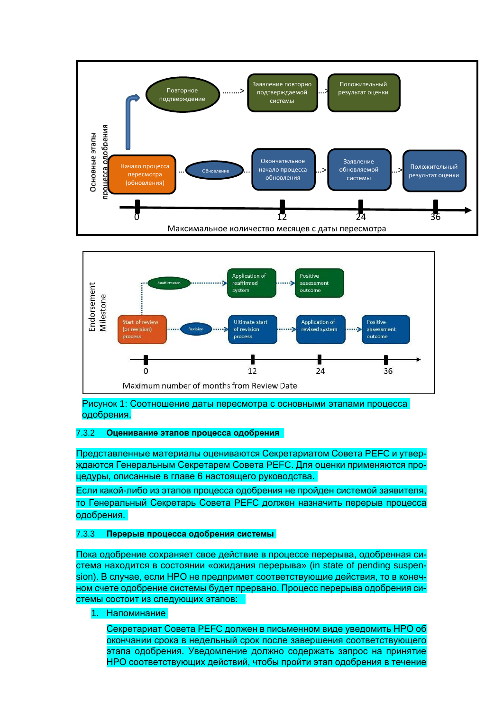



Рисунок 1: Соотношение даты пересмотра с основными этапами процесса одобрения.

#### 7.3.2 **Оценивание этапов процесса одобрения**

Представленные материалы оцениваются Секретариатом Совета PEFC и утверждаются Генеральным Секретарем Совета PEFC. Для оценки применяются процедуры, описанные в главе 6 настоящего руководства.

Если какой-либо из этапов процесса одобрения не пройден системой заявителя, то Генеральный Секретарь Совета PEFC должен назначить перерыв процесса одобрения.

#### 7.3.3 **Перерыв процесса одобрения системы**

Пока одобрение сохраняет свое действие в процессе перерыва, одобренная система находится в состоянии «ожидания перерыва» (in state of pending suspension). В случае, если НРО не предпримет соответствующие действия, то в конечном счете одобрение системы будет прервано. Процесс перерыва одобрения системы состоит из следующих этапов:

1. Напоминание

Секретариат Совета PEFC должен в письменном виде уведомить НРО об окончании срока в недельный срок после завершения соответствующего этапа одобрения. Уведомление должно содержать запрос на принятие НРО соответствующих действий, чтобы пройти этап одобрения в течение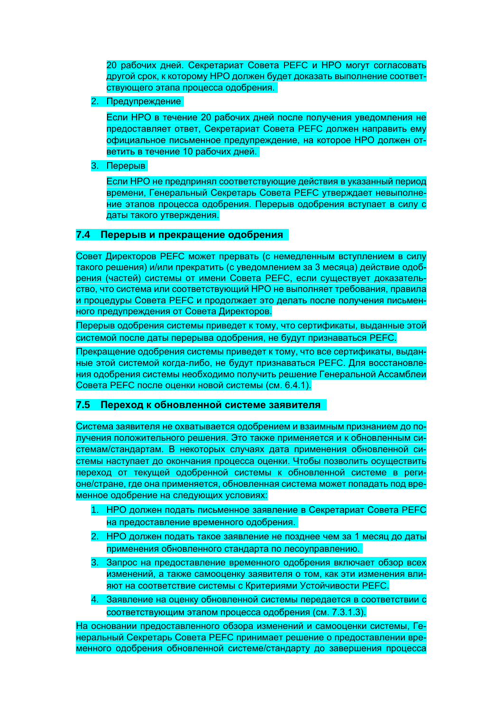20 рабочих дней. Секретариат Совета PEFC и НРО могут согласовать другой срок, к которому НРО должен будет доказать выполнение соответствующего этапа процесса одобрения.

2. Предупреждение

Если НРО в течение 20 рабочих дней после получения уведомления не предоставляет ответ, Секретариат Совета PEFC должен направить ему официальное письменное предупреждение, на которое НРО должен ответить в течение 10 рабочих дней.

3. Перерыв

Если НРО не предпринял соответствующие действия в указанный период времени, Генеральный Секретарь Совета PEFC утверждает невыполнение этапов процесса одобрения. Перерыв одобрения вступает в силу с даты такого утверждения.

#### **7.4 Перерыв и прекращение одобрения**

Совет Директоров PEFC может прервать (с немедленным вступлением в силу такого решения) и/или прекратить (с уведомлением за 3 месяца) действие одобрения (частей) системы от имени Совета PEFC, если существует доказательство, что система или соответствующий НРО не выполняет требования, правила и процедуры Совета PEFC и продолжает это делать после получения письменного предупреждения от Совета Директоров.

Перерыв одобрения системы приведет к тому, что сертификаты, выданные этой системой после даты перерыва одобрения, не будут признаваться PEFC.

Прекращение одобрения системы приведет к тому, что все сертификаты, выданные этой системой когда-либо, не будут признаваться PEFC. Для восстановления одобрения системы необходимо получить решение Генеральной Ассамблеи Совета PEFC после оценки новой системы (см. 6.4.1).

#### **7.5 Переход к обновленной системе заявителя**

Система заявителя не охватывается одобрением и взаимным признанием до получения положительного решения. Это также применяется и к обновленным системам/стандартам. В некоторых случаях дата применения обновленной системы наступает до окончания процесса оценки. Чтобы позволить осуществить переход от текущей одобренной системы к обновленной системе в регионе/стране, где она применяется, обновленная система может попадать под временное одобрение на следующих условиях:

- 1. НРО должен подать письменное заявление в Секретариат Совета PEFC на предоставление временного одобрения.
- 2. НРО должен подать такое заявление не позднее чем за 1 месяц до даты применения обновленного стандарта по лесоуправлению.
- 3. Запрос на предоставление временного одобрения включает обзор всех изменений, а также самооценку заявителя о том, как эти изменения влияют на соответствие системы с Критериями Устойчивости PEFC.
- 4. Заявление на оценку обновленной системы передается в соответствии с соответствующим этапом процесса одобрения (см. 7.3.1.3).

На основании предоставленного обзора изменений и самооценки системы, Генеральный Секретарь Совета PEFC принимает решение о предоставлении временного одобрения обновленной системе/стандарту до завершения процесса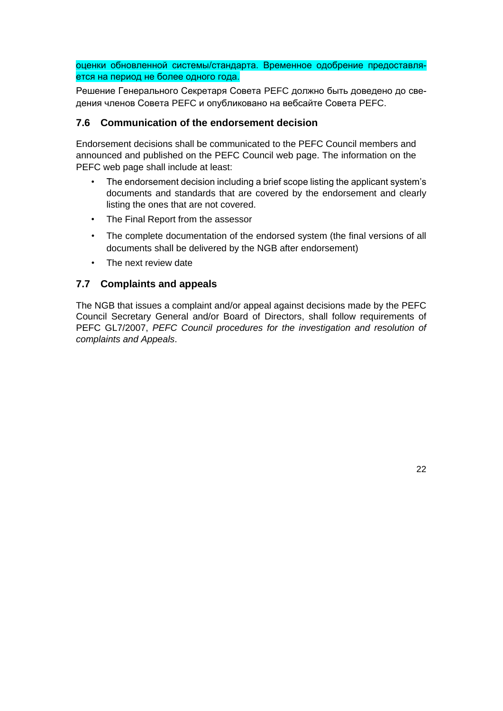оценки обновленной системы/стандарта. Временное одобрение предоставляется на период не более одного года.

Решение Генерального Секретаря Совета PEFC должно быть доведено до сведения членов Совета PEFC и опубликовано на вебсайте Совета PEFC.

#### **7.6 Communication of the endorsement decision**

Endorsement decisions shall be communicated to the PEFC Council members and announced and published on the PEFC Council web page. The information on the PEFC web page shall include at least:

- The endorsement decision including a brief scope listing the applicant system's documents and standards that are covered by the endorsement and clearly listing the ones that are not covered.
- The Final Report from the assessor
- The complete documentation of the endorsed system (the final versions of all documents shall be delivered by the NGB after endorsement)
- The next review date

#### **7.7 Complaints and appeals**

The NGB that issues a complaint and/or appeal against decisions made by the PEFC Council Secretary General and/or Board of Directors, shall follow requirements of PEFC GL7/2007, *PEFC Council procedures for the investigation and resolution of complaints and Appeals*.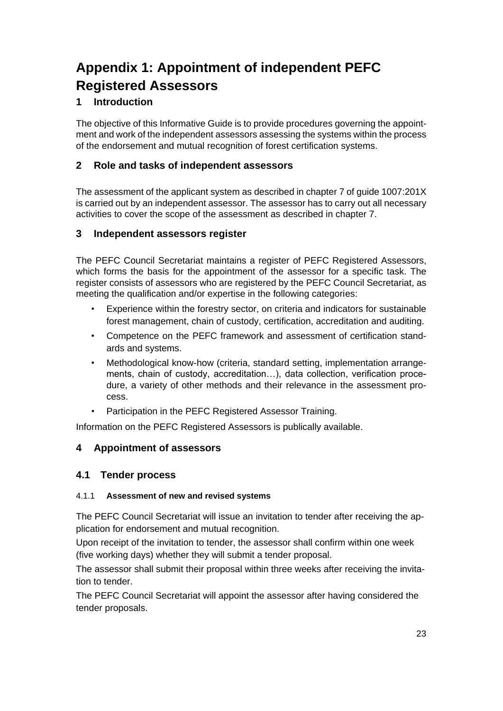## **Appendix 1: Appointment of independent PEFC Registered Assessors**

### **1 Introduction**

The objective of this Informative Guide is to provide procedures governing the appointment and work of the independent assessors assessing the systems within the process of the endorsement and mutual recognition of forest certification systems.

#### **2 Role and tasks of independent assessors**

The assessment of the applicant system as described in chapter 7 of guide 1007:201X is carried out by an independent assessor. The assessor has to carry out all necessary activities to cover the scope of the assessment as described in chapter 7.

#### **3 Independent assessors register**

The PEFC Council Secretariat maintains a register of PEFC Registered Assessors, which forms the basis for the appointment of the assessor for a specific task. The register consists of assessors who are registered by the PEFC Council Secretariat, as meeting the qualification and/or expertise in the following categories:

- Experience within the forestry sector, on criteria and indicators for sustainable forest management, chain of custody, certification, accreditation and auditing.
- Competence on the PEFC framework and assessment of certification standards and systems.
- Methodological know-how (criteria, standard setting, implementation arrangements, chain of custody, accreditation…), data collection, verification procedure, a variety of other methods and their relevance in the assessment process.
- Participation in the PEFC Registered Assessor Training.

Information on the PEFC Registered Assessors is publically available.

#### **4 Appointment of assessors**

#### **4.1 Tender process**

#### 4.1.1 **Assessment of new and revised systems**

The PEFC Council Secretariat will issue an invitation to tender after receiving the application for endorsement and mutual recognition.

Upon receipt of the invitation to tender, the assessor shall confirm within one week (five working days) whether they will submit a tender proposal.

The assessor shall submit their proposal within three weeks after receiving the invitation to tender.

The PEFC Council Secretariat will appoint the assessor after having considered the tender proposals.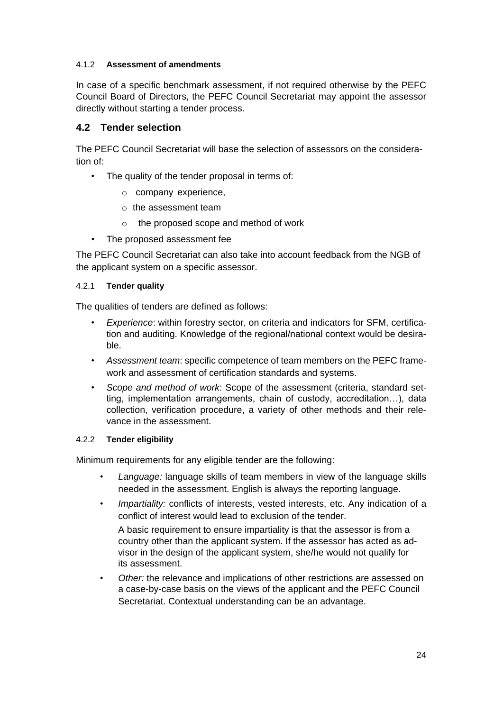#### 4.1.2 **Assessment of amendments**

In case of a specific benchmark assessment, if not required otherwise by the PEFC Council Board of Directors, the PEFC Council Secretariat may appoint the assessor directly without starting a tender process.

#### **4.2 Tender selection**

The PEFC Council Secretariat will base the selection of assessors on the consideration of:

- The quality of the tender proposal in terms of:
	- o company experience,
	- o the assessment team
	- o the proposed scope and method of work
- The proposed assessment fee

The PEFC Council Secretariat can also take into account feedback from the NGB of the applicant system on a specific assessor.

#### 4.2.1 **Tender quality**

The qualities of tenders are defined as follows:

- *Experience*: within forestry sector, on criteria and indicators for SFM, certification and auditing. Knowledge of the regional/national context would be desirable.
- *Assessment team*: specific competence of team members on the PEFC framework and assessment of certification standards and systems.
- *Scope and method of work*: Scope of the assessment (criteria, standard setting, implementation arrangements, chain of custody, accreditation…), data collection, verification procedure, a variety of other methods and their relevance in the assessment.

#### 4.2.2 **Tender eligibility**

Minimum requirements for any eligible tender are the following:

- *Language:* language skills of team members in view of the language skills needed in the assessment. English is always the reporting language.
- *Impartiality:* conflicts of interests, vested interests, etc. Any indication of a conflict of interest would lead to exclusion of the tender.

A basic requirement to ensure impartiality is that the assessor is from a country other than the applicant system. If the assessor has acted as advisor in the design of the applicant system, she/he would not qualify for its assessment.

• *Other:* the relevance and implications of other restrictions are assessed on a case-by-case basis on the views of the applicant and the PEFC Council Secretariat. Contextual understanding can be an advantage.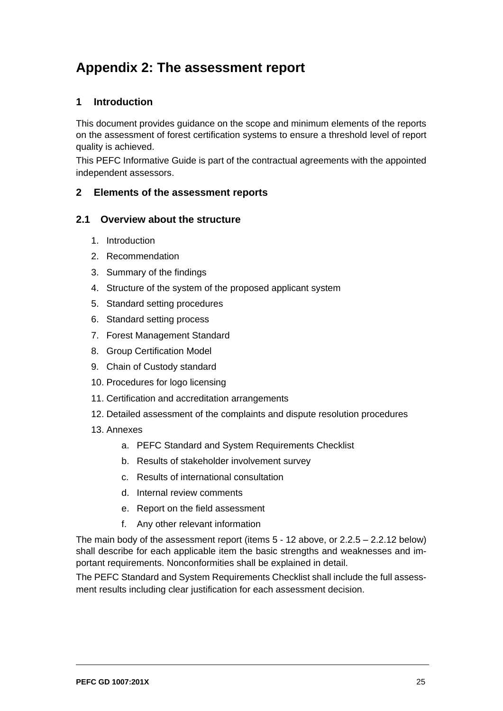## **Appendix 2: The assessment report**

#### **1 Introduction**

This document provides guidance on the scope and minimum elements of the reports on the assessment of forest certification systems to ensure a threshold level of report quality is achieved.

This PEFC Informative Guide is part of the contractual agreements with the appointed independent assessors.

#### **2 Elements of the assessment reports**

#### **2.1 Overview about the structure**

- 1. Introduction
- 2. Recommendation
- 3. Summary of the findings
- 4. Structure of the system of the proposed applicant system
- 5. Standard setting procedures
- 6. Standard setting process
- 7. Forest Management Standard
- 8. Group Certification Model
- 9. Chain of Custody standard
- 10. Procedures for logo licensing
- 11. Certification and accreditation arrangements
- 12. Detailed assessment of the complaints and dispute resolution procedures
- 13. Annexes
	- a. PEFC Standard and System Requirements Checklist
	- b. Results of stakeholder involvement survey
	- c. Results of international consultation
	- d. Internal review comments
	- e. Report on the field assessment
	- f. Any other relevant information

The main body of the assessment report (items 5 - 12 above, or 2.2.5 – 2.2.12 below) shall describe for each applicable item the basic strengths and weaknesses and important requirements. Nonconformities shall be explained in detail.

The PEFC Standard and System Requirements Checklist shall include the full assessment results including clear justification for each assessment decision.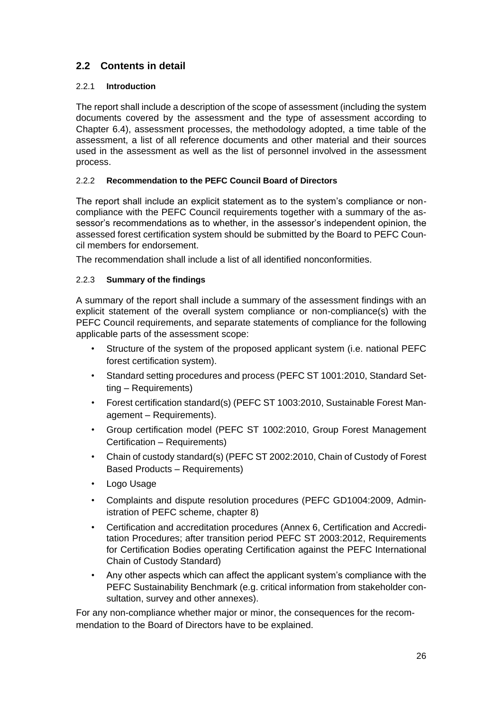## **2.2 Contents in detail**

#### 2.2.1 **Introduction**

The report shall include a description of the scope of assessment (including the system documents covered by the assessment and the type of assessment according to Chapter 6.4), assessment processes, the methodology adopted, a time table of the assessment, a list of all reference documents and other material and their sources used in the assessment as well as the list of personnel involved in the assessment process.

#### 2.2.2 **Recommendation to the PEFC Council Board of Directors**

The report shall include an explicit statement as to the system's compliance or noncompliance with the PEFC Council requirements together with a summary of the assessor's recommendations as to whether, in the assessor's independent opinion, the assessed forest certification system should be submitted by the Board to PEFC Council members for endorsement.

The recommendation shall include a list of all identified nonconformities.

#### 2.2.3 **Summary of the findings**

A summary of the report shall include a summary of the assessment findings with an explicit statement of the overall system compliance or non-compliance(s) with the PEFC Council requirements, and separate statements of compliance for the following applicable parts of the assessment scope:

- Structure of the system of the proposed applicant system (i.e. national PEFC forest certification system).
- Standard setting procedures and process (PEFC ST 1001:2010, Standard Setting – Requirements)
- Forest certification standard(s) (PEFC ST 1003:2010, Sustainable Forest Management – Requirements).
- Group certification model (PEFC ST 1002:2010, Group Forest Management Certification – Requirements)
- Chain of custody standard(s) (PEFC ST 2002:2010, Chain of Custody of Forest Based Products – Requirements)
- Logo Usage
- Complaints and dispute resolution procedures (PEFC GD1004:2009, Administration of PEFC scheme, chapter 8)
- Certification and accreditation procedures (Annex 6, Certification and Accreditation Procedures; after transition period PEFC ST 2003:2012, Requirements for Certification Bodies operating Certification against the PEFC International Chain of Custody Standard)
- Any other aspects which can affect the applicant system's compliance with the PEFC Sustainability Benchmark (e.g. critical information from stakeholder consultation, survey and other annexes).

For any non-compliance whether major or minor, the consequences for the recommendation to the Board of Directors have to be explained.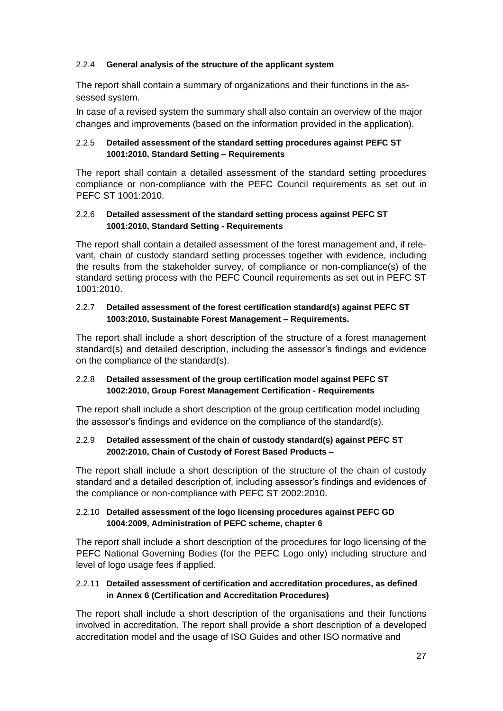#### 2.2.4 **General analysis of the structure of the applicant system**

The report shall contain a summary of organizations and their functions in the assessed system.

In case of a revised system the summary shall also contain an overview of the major changes and improvements (based on the information provided in the application).

#### 2.2.5 **Detailed assessment of the standard setting procedures against PEFC ST 1001:2010, Standard Setting – Requirements**

The report shall contain a detailed assessment of the standard setting procedures compliance or non-compliance with the PEFC Council requirements as set out in PEFC ST 1001:2010.

#### 2.2.6 **Detailed assessment of the standard setting process against PEFC ST 1001:2010, Standard Setting - Requirements**

The report shall contain a detailed assessment of the forest management and, if relevant, chain of custody standard setting processes together with evidence, including the results from the stakeholder survey, of compliance or non-compliance(s) of the standard setting process with the PEFC Council requirements as set out in PEFC ST 1001:2010.

#### 2.2.7 **Detailed assessment of the forest certification standard(s) against PEFC ST 1003:2010, Sustainable Forest Management – Requirements.**

The report shall include a short description of the structure of a forest management standard(s) and detailed description, including the assessor's findings and evidence on the compliance of the standard(s).

#### 2.2.8 **Detailed assessment of the group certification model against PEFC ST 1002:2010, Group Forest Management Certification - Requirements**

The report shall include a short description of the group certification model including the assessor's findings and evidence on the compliance of the standard(s).

#### 2.2.9 **Detailed assessment of the chain of custody standard(s) against PEFC ST 2002:2010, Chain of Custody of Forest Based Products –**

The report shall include a short description of the structure of the chain of custody standard and a detailed description of, including assessor's findings and evidences of the compliance or non-compliance with PEFC ST 2002:2010.

#### 2.2.10 **Detailed assessment of the logo licensing procedures against PEFC GD 1004:2009, Administration of PEFC scheme, chapter 6**

The report shall include a short description of the procedures for logo licensing of the PEFC National Governing Bodies (for the PEFC Logo only) including structure and level of logo usage fees if applied.

#### 2.2.11 **Detailed assessment of certification and accreditation procedures, as defined in Annex 6 (Certification and Accreditation Procedures)**

The report shall include a short description of the organisations and their functions involved in accreditation. The report shall provide a short description of a developed accreditation model and the usage of ISO Guides and other ISO normative and